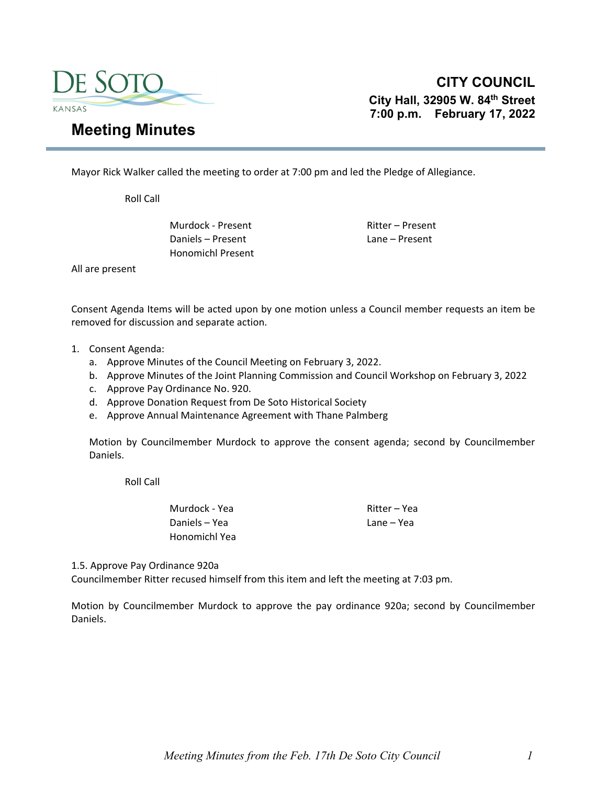

Mayor Rick Walker called the meeting to order at 7:00 pm and led the Pledge of Allegiance.

Roll Call

Murdock - Present **Ritter – Present** Daniels – Present Lane – Present Honomichl Present

All are present

Consent Agenda Items will be acted upon by one motion unless a Council member requests an item be removed for discussion and separate action.

- 1. Consent Agenda:
	- a. Approve Minutes of the Council Meeting on February 3, 2022.
	- b. Approve Minutes of the Joint Planning Commission and Council Workshop on February 3, 2022
	- c. Approve Pay Ordinance No. 920.
	- d. Approve Donation Request from De Soto Historical Society
	- e. Approve Annual Maintenance Agreement with Thane Palmberg

Motion by Councilmember Murdock to approve the consent agenda; second by Councilmember Daniels.

Roll Call

Murdock - Yea Ritter – Yea Daniels – Yea Lane – Yea Honomichl Yea

1.5. Approve Pay Ordinance 920a

Councilmember Ritter recused himself from this item and left the meeting at 7:03 pm.

Motion by Councilmember Murdock to approve the pay ordinance 920a; second by Councilmember Daniels.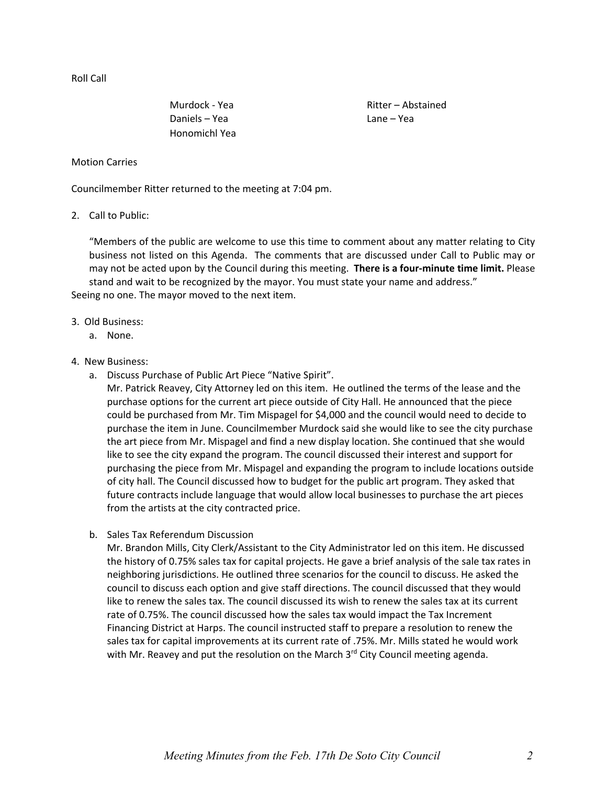Roll Call

Daniels – Yea Lane – Yea Honomichl Yea

Murdock - Yea Ritter – Abstained

### Motion Carries

Councilmember Ritter returned to the meeting at 7:04 pm.

### 2. Call to Public:

"Members of the public are welcome to use this time to comment about any matter relating to City business not listed on this Agenda. The comments that are discussed under Call to Public may or may not be acted upon by the Council during this meeting. **There is a four‐minute time limit.** Please stand and wait to be recognized by the mayor. You must state your name and address." Seeing no one. The mayor moved to the next item.

### 3. Old Business:

a. None.

### 4. New Business:

a. Discuss Purchase of Public Art Piece "Native Spirit".

Mr. Patrick Reavey, City Attorney led on this item. He outlined the terms of the lease and the purchase options for the current art piece outside of City Hall. He announced that the piece could be purchased from Mr. Tim Mispagel for \$4,000 and the council would need to decide to purchase the item in June. Councilmember Murdock said she would like to see the city purchase the art piece from Mr. Mispagel and find a new display location. She continued that she would like to see the city expand the program. The council discussed their interest and support for purchasing the piece from Mr. Mispagel and expanding the program to include locations outside of city hall. The Council discussed how to budget for the public art program. They asked that future contracts include language that would allow local businesses to purchase the art pieces from the artists at the city contracted price.

# b. Sales Tax Referendum Discussion

Mr. Brandon Mills, City Clerk/Assistant to the City Administrator led on this item. He discussed the history of 0.75% sales tax for capital projects. He gave a brief analysis of the sale tax rates in neighboring jurisdictions. He outlined three scenarios for the council to discuss. He asked the council to discuss each option and give staff directions. The council discussed that they would like to renew the sales tax. The council discussed its wish to renew the sales tax at its current rate of 0.75%. The council discussed how the sales tax would impact the Tax Increment Financing District at Harps. The council instructed staff to prepare a resolution to renew the sales tax for capital improvements at its current rate of .75%. Mr. Mills stated he would work with Mr. Reavey and put the resolution on the March 3<sup>rd</sup> City Council meeting agenda.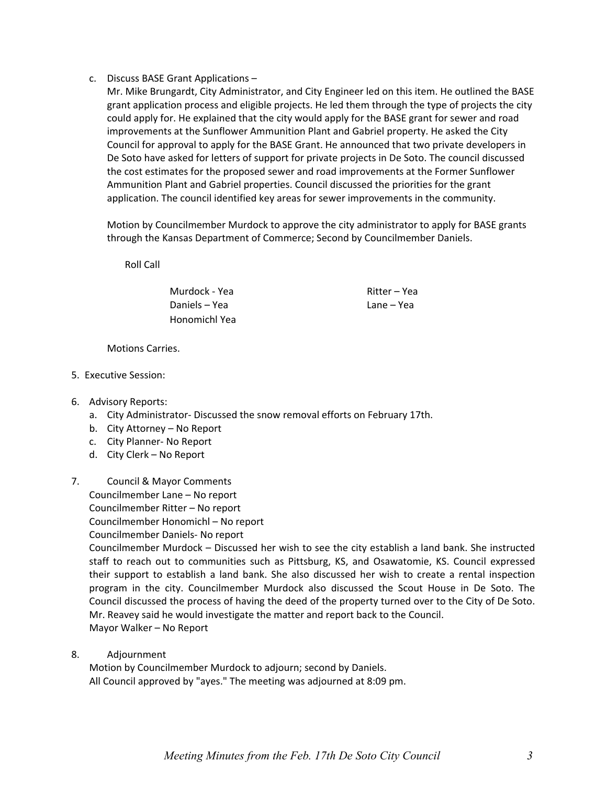c. Discuss BASE Grant Applications –

Mr. Mike Brungardt, City Administrator, and City Engineer led on this item. He outlined the BASE grant application process and eligible projects. He led them through the type of projects the city could apply for. He explained that the city would apply for the BASE grant for sewer and road improvements at the Sunflower Ammunition Plant and Gabriel property. He asked the City Council for approval to apply for the BASE Grant. He announced that two private developers in De Soto have asked for letters of support for private projects in De Soto. The council discussed the cost estimates for the proposed sewer and road improvements at the Former Sunflower Ammunition Plant and Gabriel properties. Council discussed the priorities for the grant application. The council identified key areas for sewer improvements in the community.

Motion by Councilmember Murdock to approve the city administrator to apply for BASE grants through the Kansas Department of Commerce; Second by Councilmember Daniels.

Roll Call

Murdock - Yea Ritter – Yea Daniels – Yea Lane – Yea Honomichl Yea

Motions Carries.

5. Executive Session:

# 6. Advisory Reports:

- a. City Administrator‐ Discussed the snow removal efforts on February 17th.
- b. City Attorney No Report
- c. City Planner‐ No Report
- d. City Clerk No Report
- 7. Council & Mayor Comments Councilmember Lane – No report Councilmember Ritter – No report

Councilmember Honomichl – No report

Councilmember Daniels‐ No report

Councilmember Murdock – Discussed her wish to see the city establish a land bank. She instructed staff to reach out to communities such as Pittsburg, KS, and Osawatomie, KS. Council expressed their support to establish a land bank. She also discussed her wish to create a rental inspection program in the city. Councilmember Murdock also discussed the Scout House in De Soto. The Council discussed the process of having the deed of the property turned over to the City of De Soto. Mr. Reavey said he would investigate the matter and report back to the Council. Mayor Walker – No Report

8. Adjournment

Motion by Councilmember Murdock to adjourn; second by Daniels. All Council approved by "ayes." The meeting was adjourned at 8:09 pm.